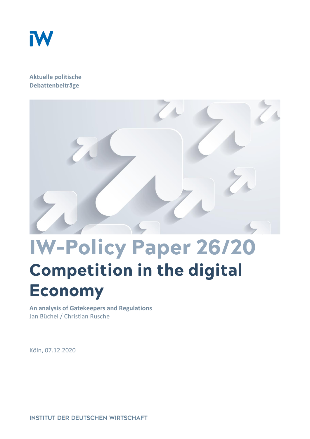

#### **Aktuelle politische Debattenbeiträge**



# **IW-Policy Paper 26/20 Competition in the digital Economy**

**An analysis of Gatekeepers and Regulations** Jan Büchel / Christian Rusche

Köln, 07.12.2020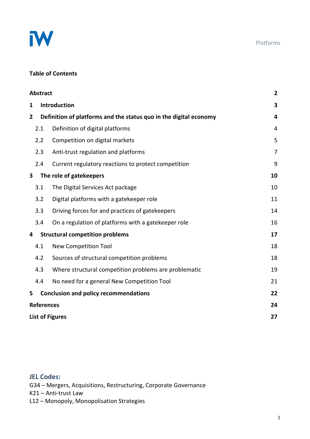

#### Platforms

### **Table of Contents**

|                         | <b>Abstract</b>                        |                                                                   |                |
|-------------------------|----------------------------------------|-------------------------------------------------------------------|----------------|
| 1                       |                                        | Introduction                                                      |                |
| $\mathbf{2}$            |                                        | Definition of platforms and the status quo in the digital economy |                |
|                         | 2.1                                    | Definition of digital platforms                                   | 4              |
|                         | 2.2                                    | Competition on digital markets                                    | 5              |
|                         | 2.3                                    | Anti-trust regulation and platforms                               | $\overline{7}$ |
|                         | 2.4                                    | Current regulatory reactions to protect competition               | 9              |
| $\overline{\mathbf{3}}$ |                                        | The role of gatekeepers                                           | 10             |
|                         | 3.1                                    | The Digital Services Act package                                  | 10             |
|                         | 3.2                                    | Digital platforms with a gatekeeper role                          | 11             |
|                         | 3.3                                    | Driving forces for and practices of gatekeepers                   | 14             |
|                         | 3.4                                    | On a regulation of platforms with a gatekeeper role               | 16             |
| 4                       | <b>Structural competition problems</b> |                                                                   | 17             |
|                         | 4.1                                    | <b>New Competition Tool</b>                                       | 18             |
|                         | 4.2                                    | Sources of structural competition problems                        | 18             |
|                         | 4.3                                    | Where structural competition problems are problematic             | 19             |
|                         | 4.4                                    | No need for a general New Competition Tool                        | 21             |
| 5                       |                                        | <b>Conclusion and policy recommendations</b>                      | 22             |
| <b>References</b>       |                                        |                                                                   | 24             |
|                         | <b>List of Figures</b>                 |                                                                   |                |

#### **JEL Codes:**

G34 – Mergers, Acquisitions, Restructuring, Corporate Governance

K21 – Anti-trust Law

L12 – Monopoly, Monopolisation Strategies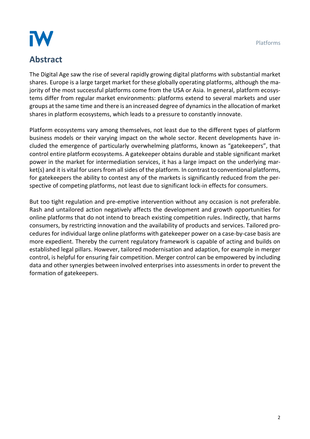Platforms

# IW

# **Abstract**

The Digital Age saw the rise of several rapidly growing digital platforms with substantial market shares. Europe is a large target market for these globally operating platforms, although the majority of the most successful platforms come from the USA or Asia. In general, platform ecosystems differ from regular market environments: platforms extend to several markets and user groups at the same time and there is an increased degree of dynamics in the allocation of market shares in platform ecosystems, which leads to a pressure to constantly innovate.

Platform ecosystems vary among themselves, not least due to the different types of platform business models or their varying impact on the whole sector. Recent developments have included the emergence of particularly overwhelming platforms, known as "gatekeepers", that control entire platform ecosystems. A gatekeeper obtains durable and stable significant market power in the market for intermediation services, it has a large impact on the underlying market(s) and it is vital for users from all sides of the platform. In contrast to conventional platforms, for gatekeepers the ability to contest any of the markets is significantly reduced from the perspective of competing platforms, not least due to significant lock-in effects for consumers.

But too tight regulation and pre-emptive intervention without any occasion is not preferable. Rash and untailored action negatively affects the development and growth opportunities for online platforms that do not intend to breach existing competition rules. Indirectly, that harms consumers, by restricting innovation and the availability of products and services. Tailored procedures for individual large online platforms with gatekeeper power on a case-by-case basis are more expedient. Thereby the current regulatory framework is capable of acting and builds on established legal pillars. However, tailored modernisation and adaption, for example in merger control, is helpful for ensuring fair competition. Merger control can be empowered by including data and other synergies between involved enterprises into assessments in order to prevent the formation of gatekeepers.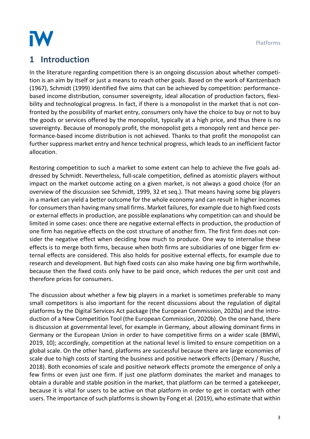Platforms



# **1 Introduction**

In the literature regarding competition there is an ongoing discussion about whether competition is an aim by itself or just a means to reach other goals. Based on the work of Kantzenbach (1967), Schmidt (1999) identified five aims that can be achieved by competition: performancebased income distribution, consumer sovereignty, ideal allocation of production factors, flexibility and technological progress. In fact, if there is a monopolist in the market that is not confronted by the possibility of market entry, consumers only have the choice to buy or not to buy the goods or services offered by the monopolist, typically at a high price, and thus there is no sovereignty. Because of monopoly profit, the monopolist gets a monopoly rent and hence performance-based income distribution is not achieved. Thanks to that profit the monopolist can further suppress market entry and hence technical progress, which leads to an inefficient factor allocation.

Restoring competition to such a market to some extent can help to achieve the five goals addressed by Schmidt. Nevertheless, full-scale competition, defined as atomistic players without impact on the market outcome acting on a given market, is not always a good choice (for an overview of the discussion see Schmidt, 1999, 32 et seq.). That means having some big players in a market can yield a better outcome for the whole economy and can result in higher incomes for consumers than having many small firms. Market failures, for example due to high fixed costs or external effects in production, are possible explanations why competition can and should be limited in some cases: once there are negative external effects in production, the production of one firm has negative effects on the cost structure of another firm. The first firm does not consider the negative effect when deciding how much to produce. One way to internalise these effects is to merge both firms, because when both firms are subsidiaries of one bigger firm external effects are considered. This also holds for positive external effects, for example due to research and development. But high fixed costs can also make having one big firm worthwhile, because then the fixed costs only have to be paid once, which reduces the per unit cost and therefore prices for consumers.

The discussion about whether a few big players in a market is sometimes preferable to many small competitors is also important for the recent discussions about the regulation of digital platforms by the Digital Services Act package (the European Commission, 2020a) and the introduction of a New Competition Tool (the European Commission, 2020b). On the one hand, there is discussion at governmental level, for example in Germany, about allowing dominant firms in Germany or the European Union in order to have competitive firms on a wider scale (BMWi, 2019, 10); accordingly, competition at the national level is limited to ensure competition on a global scale. On the other hand, platforms are successful because there are large economies of scale due to high costs of starting the business and positive network effects (Demary / Rusche, 2018). Both economies of scale and positive network effects promote the emergence of only a few firms or even just one firm. If just one platform dominates the market and manages to obtain a durable and stable position in the market, that platform can be termed a gatekeeper, because it is vital for users to be active on that platform in order to get in contact with other users. The importance of such platforms is shown by Fong et al. (2019), who estimate that within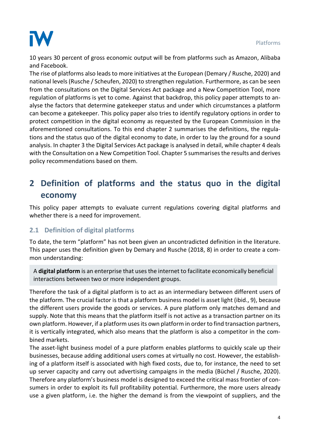

10 years 30 percent of gross economic output will be from platforms such as Amazon, Alibaba and Facebook.

The rise of platforms also leads to more initiatives at the European (Demary / Rusche, 2020) and national levels (Rusche / Scheufen, 2020) to strengthen regulation. Furthermore, as can be seen from the consultations on the Digital Services Act package and a New Competition Tool, more regulation of platforms is yet to come. Against that backdrop, this policy paper attempts to analyse the factors that determine gatekeeper status and under which circumstances a platform can become a gatekeeper. This policy paper also tries to identify regulatory options in order to protect competition in the digital economy as requested by the European Commission in the aforementioned consultations. To this end chapter 2 summarises the definitions, the regulations and the status quo of the digital economy to date, in order to lay the ground for a sound analysis. In chapter 3 the Digital Services Act package is analysed in detail, while chapter 4 deals with the Consultation on a New Competition Tool. Chapter 5 summarises the results and derives policy recommendations based on them.

## **2 Definition of platforms and the status quo in the digital economy**

This policy paper attempts to evaluate current regulations covering digital platforms and whether there is a need for improvement.

#### **2.1 Definition of digital platforms**

To date, the term "platform" has not been given an uncontradicted definition in the literature. This paper uses the definition given by Demary and Rusche (2018, 8) in order to create a common understanding:

A **digital platform** is an enterprise that uses the internet to facilitate economically beneficial interactions between two or more independent groups.

Therefore the task of a digital platform is to act as an intermediary between different users of the platform. The crucial factor is that a platform business model is asset light (ibid., 9), because facilitate economically beneficial interactions between two or more independent user the different users provide the goods or services. A pure platform only matches demand and  $\ddot{a}$ supply. Note that this means that the platform itself is not active as a transaction partner on its own platform. However, if a platform uses its own platform in order to find transaction partners, it is vertically integrated, which also means that the platform is also a competitor in the combined markets. **of users.** due to its durable and stable market power whereas it is highly relevant for users from a digital platform. A digital platform. A considered internet to the internet to internet to its that use<br>The internet to internet the internet to internet the internet to its that uses the internet to its the interne

The asset-light business model of a pure platform enables platforms to quickly scale up their businesses, because adding additional users comes at virtually no cost. However, the establishing of a platform itself is associated with high fixed costs, due to, for instance, the need to set up server capacity and carry out advertising campaigns in the media (Büchel / Rusche, 2020). Therefore any platform's business model is designed to exceed the critical mass frontier of consumers in order to exploit its full profitability potential. Furthermore, the more users already use a given platform, i.e. the higher the demand is from the viewpoint of suppliers, and the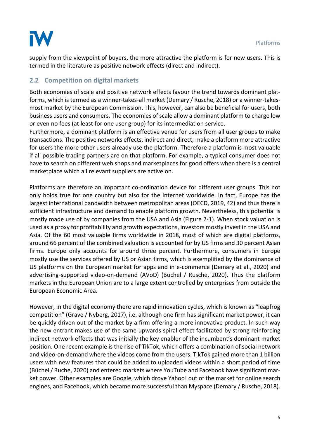

supply from the viewpoint of buyers, the more attractive the platform is for new users. This is termed in the literature as positive network effects (direct and indirect).

#### **2.2 Competition on digital markets**

Both economies of scale and positive network effects favour the trend towards dominant platforms, which is termed as a winner-takes-all market (Demary / Rusche, 2018) or a winner-takesmost market by the European Commission. This, however, can also be beneficial for users, both business users and consumers. The economies of scale allow a dominant platform to charge low or even no fees (at least for one user group) for its intermediation service.

Furthermore, a dominant platform is an effective venue for users from all user groups to make transactions. The positive networks effects, indirect and direct, make a platform more attractive for users the more other users already use the platform. Therefore a platform is most valuable if all possible trading partners are on that platform. For example, a typical consumer does not have to search on different web shops and marketplaces for good offers when there is a central marketplace which all relevant suppliers are active on.

Platforms are therefore an important co-ordination device for different user groups. This not only holds true for one country but also for the Internet worldwide. In fact, Europe has the largest international bandwidth between metropolitan areas (OECD, 2019, 42) and thus there is sufficient infrastructure and demand to enable platform growth. Nevertheless, this potential is mostly made use of by companies from the USA and Asia (Figure 2-1). When stock valuation is used as a proxy for profitability and growth expectations, investors mostly invest in the USA and Asia. Of the 60 most valuable firms worldwide in 2018, most of which are digital platforms, around 66 percent of the combined valuation is accounted for by US firms and 30 percent Asian firms. Europe only accounts for around three percent. Furthermore, consumers in Europe mostly use the services offered by US or Asian firms, which is exemplified by the dominance of US platforms on the European market for apps and in e-commerce (Demary et al., 2020) and advertising-supported video-on-demand (AVoD) (Büchel / Rusche, 2020). Thus the platform markets in the European Union are to a large extent controlled by enterprises from outside the European Economic Area.

However, in the digital economy there are rapid innovation cycles, which is known as "leapfrog competition" (Grave / Nyberg, 2017), i.e. although one firm has significant market power, it can be quickly driven out of the market by a firm offering a more innovative product. In such way the new entrant makes use of the same upwards spiral effect facilitated by strong reinforcing indirect network effects that was initially the key enabler of the incumbent's dominant market position. One recent example is the rise of TikTok, which offers a combination of social network and video-on-demand where the videos come from the users. TikTok gained more than 1 billion users with new features that could be added to uploaded videos within a short period of time (Büchel / Ruche, 2020) and entered markets where YouTube and Facebook have significant market power. Other examples are Google, which drove Yahoo! out of the market for online search engines, and Facebook, which became more successful than Myspace (Demary / Rusche, 2018).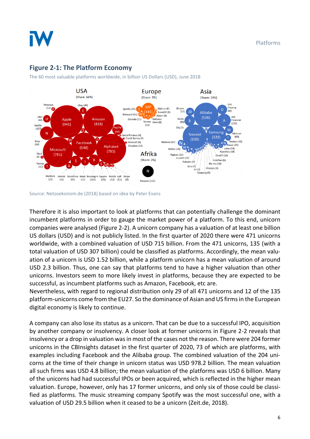

#### <span id="page-6-0"></span>**Figure 2-1: The Platform Economy**

The 60 most valuable platforms worldwide, in billion US Dollars (USD), June 2018

Source: Netzoekonom.de (2018) based on idea by Peter Evans

Therefore it is also important to look at platforms that can potentially challenge the dominant incumbent platforms in order to gauge the market power of a platform. To this end, unicorn companies were analysed (Figure 2-2). A unicorn company has a valuation of at least one billion US dollars (USD) and is not publicly listed. In the first quarter of 2020 there were 471 unicorns worldwide, with a combined valuation of USD 715 billion. From the 471 unicorns, 135 (with a total valuation of USD 307 billion) could be classified as platforms. Accordingly, the mean valuation of a unicorn is USD 1.52 billion, while a platform unicorn has a mean valuation of around USD 2.3 billion. Thus, one can say that platforms tend to have a higher valuation than other unicorns. Investors seem to more likely invest in platforms, because they are expected to be successful, as incumbent platforms such as Amazon, Facebook, etc are.

Nevertheless, with regard to regional distribution only 29 of all 471 unicorns and 12 of the 135 platform-unicorns come from the EU27. So the dominance of Asian and US firms in the European digital economy is likely to continue.

A company can also lose its status as a unicorn. That can be due to a successful IPO, acquisition by another company or insolvency. A closer look at former unicorns in Figure 2-2 reveals that insolvency or a drop in valuation was in most of the cases not the reason. There were 204 former unicorns in the CBInsights dataset in the first quarter of 2020, 73 of which are platforms, with examples including Facebook and the Alibaba group. The combined valuation of the 204 unicorns at the time of their change in unicorn status was USD 978.2 billion. The mean valuation all such firms was USD 4.8 billion; the mean valuation of the platforms was USD 6 billion. Many of the unicorns had had successful IPOs or been acquired, which is reflected in the higher mean valuation. Europe, however, only has 17 former unicorns, and only six of those could be classified as platforms. The music streaming company Spotify was the most successful one, with a valuation of USD 29.5 billion when it ceased to be a unicorn (Zeit.de, 2018).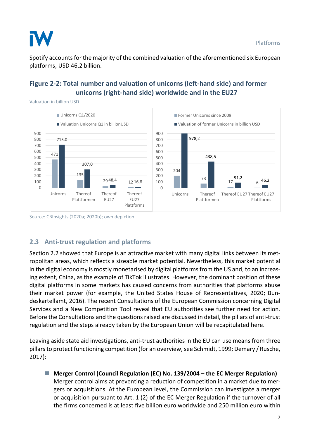

Spotify accounts for the majority of the combined valuation of the aforementioned six European platforms, USD 46.2 billion.

#### <span id="page-7-0"></span>**Figure 2-2: Total number and valuation of unicorns (left-hand side) and former unicorns (right-hand side) worldwide and in the EU27**

Valuation in billion USD



Source: CBInsights (2020a; 2020b); own depiction

### **2.3 Anti-trust regulation and platforms**

Section 2.2 showed that Europe is an attractive market with many digital links between its metropolitan areas, which reflects a sizeable market potential. Nevertheless, this market potential in the digital economy is mostly monetarised by digital platforms from the US and, to an increasing extent, China, as the example of TikTok illustrates. However, the dominant position of these digital platforms in some markets has caused concerns from authorities that platforms abuse their market power (for example, the United States House of Representatives, 2020; Bundeskartellamt, 2016). The recent Consultations of the European Commission concerning Digital Services and a New Competition Tool reveal that EU authorities see further need for action. Before the Consultations and the questions raised are discussed in detail, the pillars of anti-trust regulation and the steps already taken by the European Union will be recapitulated here.

Leaving aside state aid investigations, anti-trust authorities in the EU can use means from three pillars to protect functioning competition (for an overview, see Schmidt, 1999; Demary / Rusche, 2017):

◼ **Merger Control (Council Regulation (EC) No. 139/2004 – the EC Merger Regulation)** Merger control aims at preventing a reduction of competition in a market due to mergers or acquisitions. At the European level, the Commission can investigate a merger or acquisition pursuant to Art. 1 (2) of the EC Merger Regulation if the turnover of all the firms concerned is at least five billion euro worldwide and 250 million euro within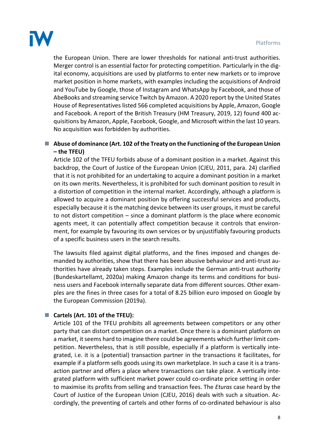

the European Union. There are lower thresholds for national anti-trust authorities. Merger control is an essential factor for protecting competition. Particularly in the digital economy, acquisitions are used by platforms to enter new markets or to improve market position in home markets, with examples including the acquisitions of Android and YouTube by Google, those of Instagram and WhatsApp by Facebook, and those of AbeBooks and streaming service Twitch by Amazon. A 2020 report by the United States House of Representatives listed 566 completed acquisitions by Apple, Amazon, Google and Facebook. A report of the British Treasury (HM Treasury, 2019, 12) found 400 acquisitions by Amazon, Apple, Facebook, Google, and Microsoft within the last 10 years. No acquisition was forbidden by authorities.

#### ■ Abuse of dominance (Art. 102 of the Treaty on the Functioning of the European Union **– the TFEU)**

Article 102 of the TFEU forbids abuse of a dominant position in a market. Against this backdrop, the Court of Justice of the European Union (CJEU, 2011, para. 24) clarified that it is not prohibited for an undertaking to acquire a dominant position in a market on its own merits. Nevertheless, it is prohibited for such dominant position to result in a distortion of competition in the internal market. Accordingly, although a platform is allowed to acquire a dominant position by offering successful services and products, especially because it is the matching device between its user groups, it must be careful to not distort competition – since a dominant platform is the place where economic agents meet, it can potentially affect competition because it controls that environment, for example by favouring its own services or by unjustifiably favouring products of a specific business users in the search results.

The lawsuits filed against digital platforms, and the fines imposed and changes demanded by authorities, show that there has been abusive behaviour and anti-trust authorities have already taken steps. Examples include the German anti-trust authority (Bundeskartellamt, 2020a) making Amazon change its terms and conditions for business users and Facebook internally separate data from different sources. Other examples are the fines in three cases for a total of 8.25 billion euro imposed on Google by the European Commission (2019a).

#### ◼ **Cartels (Art. 101 of the TFEU):**

Article 101 of the TFEU prohibits all agreements between competitors or any other party that can distort competition on a market. Once there is a dominant platform on a market, it seems hard to imagine there could be agreements which further limit competition. Nevertheless, that is still possible, especially if a platform is vertically integrated, i.e. it is a (potential) transaction partner in the transactions it facilitates, for example if a platform sells goods using its own marketplace. In such a case it is a transaction partner and offers a place where transactions can take place. A vertically integrated platform with sufficient market power could co-ordinate price setting in order to maximise its profits from selling and transaction fees. The *Eturas* case heard by the Court of Justice of the European Union (CJEU, 2016) deals with such a situation. Accordingly, the preventing of cartels and other forms of co-ordinated behaviour is also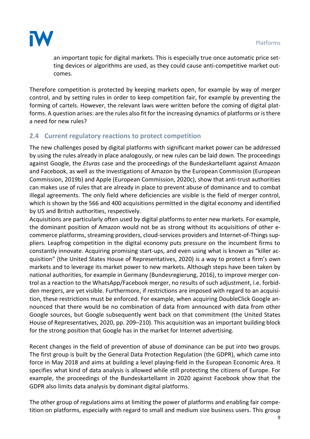

an important topic for digital markets. This is especially true once automatic price setting devices or algorithms are used, as they could cause anti-competitive market outcomes.

Therefore competition is protected by keeping markets open, for example by way of merger control, and by setting rules in order to keep competition fair, for example by preventing the forming of cartels. However, the relevant laws were written before the coming of digital platforms. A question arises: are the rules also fit for the increasing dynamics of platforms or is there a need for new rules?

#### **2.4 Current regulatory reactions to protect competition**

The new challenges posed by digital platforms with significant market power can be addressed by using the rules already in place analogously, or new rules can be laid down. The proceedings against Google, the *Eturas* case and the proceedings of the Bundeskartellamt against Amazon and Facebook, as well as the investigations of Amazon by the European Commission (European Commission, 2019b) and Apple (European Commission, 2020c), show that anti-trust authorities can makes use of rules that are already in place to prevent abuse of dominance and to combat illegal agreements. The only field where deficiencies are visible is the field of merger control, which is shown by the 566 and 400 acquisitions permitted in the digital economy and identified by US and British authorities, respectively.

Acquisitions are particularly often used by digital platforms to enter new markets. For example, the dominant position of Amazon would not be as strong without its acquisitions of other ecommerce platforms, streaming providers, cloud-services providers and Internet-of-Things suppliers. Leapfrog competition in the digital economy puts pressure on the incumbent firms to constantly innovate. Acquiring promising start-ups, and even using what is known as "killer acquisition" (the United States House of Representatives, 2020) is a way to protect a firm's own markets and to leverage its market power to new markets. Although steps have been taken by national authorities, for example in Germany (Bundesregierung, 2016), to improve merger control as a reaction to the WhatsApp/Facebook merger, no results of such adjustment, i.e. forbidden mergers, are yet visible. Furthermore, if restrictions are imposed with regard to an acquisition, these restrictions must be enforced. For example, when acquiring DoubleClick Google announced that there would be no combination of data from announced with data from other Google sources, but Google subsequently went back on that commitment (the United States House of Representatives, 2020, pp. 209–210). This acquisition was an important building block for the strong position that Google has in the market for Internet advertising.

Recent changes in the field of prevention of abuse of dominance can be put into two groups. The first group is built by the General Data Protection Regulation (the GDPR), which came into force in May 2018 and aims at building a level playing-field in the European Economic Area. It specifies what kind of data analysis is allowed while still protecting the citizens of Europe. For example, the proceedings of the Bundeskartellamt in 2020 against Facebook show that the GDPR also limits data analysis by dominant digital platforms.

The other group of regulations aims at limiting the power of platforms and enabling fair competition on platforms, especially with regard to small and medium size business users. This group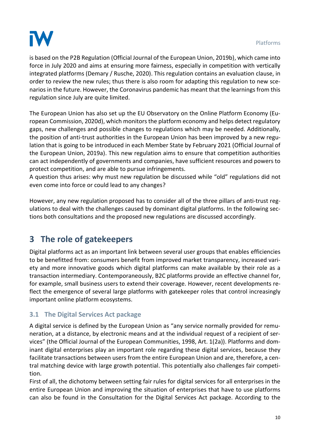

is based on the P2B Regulation (Official Journal of the European Union, 2019b), which came into force in July 2020 and aims at ensuring more fairness, especially in competition with vertically integrated platforms (Demary / Rusche, 2020). This regulation contains an evaluation clause, in order to review the new rules; thus there is also room for adapting this regulation to new scenarios in the future. However, the Coronavirus pandemic has meant that the learnings from this regulation since July are quite limited.

The European Union has also set up the EU Observatory on the Online Platform Economy (European Commission, 2020d), which monitors the platform economy and helps detect regulatory gaps, new challenges and possible changes to regulations which may be needed. Additionally, the position of anti-trust authorities in the European Union has been improved by a new regulation that is going to be introduced in each Member State by February 2021 (Official Journal of the European Union, 2019a). This new regulation aims to ensure that competition authorities can act independently of governments and companies, have sufficient resources and powers to protect competition, and are able to pursue infringements.

A question thus arises: why must new regulation be discussed while "old" regulations did not even come into force or could lead to any changes?

However, any new regulation proposed has to consider all of the three pillars of anti-trust regulations to deal with the challenges caused by dominant digital platforms. In the following sections both consultations and the proposed new regulations are discussed accordingly.

# **3 The role of gatekeepers**

Digital platforms act as an important link between several user groups that enables efficiencies to be benefitted from: consumers benefit from improved market transparency, increased variety and more innovative goods which digital platforms can make available by their role as a transaction intermediary. Contemporaneously, B2C platforms provide an effective channel for, for example, small business users to extend their coverage. However, recent developments reflect the emergence of several large platforms with gatekeeper roles that control increasingly important online platform ecosystems.

#### **3.1 The Digital Services Act package**

A digital service is defined by the European Union as "any service normally provided for remuneration, at a distance, by electronic means and at the individual request of a recipient of services" (the Official Journal of the European Communities, 1998, Art. 1(2a)). Platforms and dominant digital enterprises play an important role regarding these digital services, because they facilitate transactions between users from the entire European Union and are, therefore, a central matching device with large growth potential. This potentially also challenges fair competition.

First of all, the dichotomy between setting fair rules for digital services for all enterprises in the entire European Union and improving the situation of enterprises that have to use platforms can also be found in the Consultation for the Digital Services Act package. According to the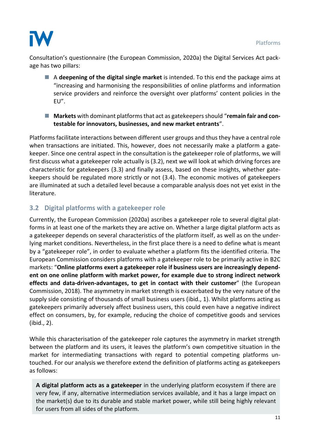

Consultation's questionnaire (the European Commission, 2020a) the Digital Services Act package has two pillars:

- A **deepening of the digital single market** is intended. To this end the package aims at "increasing and harmonising the responsibilities of online platforms and information service providers and reinforce the oversight over platforms' content policies in the EU".
- **Markets** with dominant platforms that act as gatekeepers should "remain fair and con**testable for innovators, businesses, and new market entrants**".

Platforms facilitate interactions between different user groups and thus they have a central role when transactions are initiated. This, however, does not necessarily make a platform a gatekeeper. Since one central aspect in the consultation is the gatekeeper role of platforms, we will first discuss what a gatekeeper role actually is (3.2), next we will look at which driving forces are characteristic for gatekeepers (3.3) and finally assess, based on these insights, whether gatekeepers should be regulated more strictly or not (3.4). The economic motives of gatekeepers are illuminated at such a detailed level because a comparable analysis does not yet exist in the literature.

#### **3.2 Digital platforms with a gatekeeper role**

Currently, the European Commission (2020a) ascribes a gatekeeper role to several digital platforms in at least one of the markets they are active on. Whether a large digital platform acts as a gatekeeper depends on several characteristics of the platform itself, as well as on the underlying market conditions. Nevertheless, in the first place there is a need to define what is meant by a "gatekeeper role", in order to evaluate whether a platform fits the identified criteria. The European Commission considers platforms with a gatekeeper role to be primarily active in B2C markets: "**Online platforms exert a gatekeeper role if business users are increasingly dependent on one online platform with market power, for example due to strong indirect network effects and data-driven-advantages, to get in contact with their customer**" (the European Commission, 2018). The asymmetry in market strength is exacerbated by the very nature of the supply side consisting of thousands of small business users (ibid., 1). Whilst platforms acting as gatekeepers primarily adversely affect business users, this could even have a negative indirect effect on consumers, by, for example, reducing the choice of competitive goods and services (ibid., 2).

While this characterisation of the gatekeeper role captures the asymmetry in market strength between the platform and its users, it leaves the platform's own competitive situation in the market for intermediating transactions with regard to potential competing platforms untouched. For our analysis we therefore extend the definition of platforms acting as gatekeepers as follows:

**A digital platform acts as a gatekeeper** in the underlying platform ecosystem if there are very few, if any, alternative intermediation services available, and it has a large impact on the market(s) due to its durable and stable market power, while still being highly relevant for users from all sides of the platform.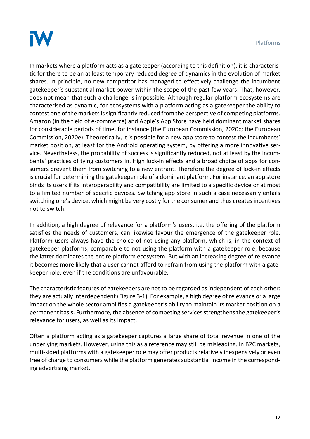

In markets where a platform acts as a gatekeeper (according to this definition), it is characteristic for there to be an at least temporary reduced degree of dynamics in the evolution of market shares. In principle, no new competitor has managed to effectively challenge the incumbent gatekeeper's substantial market power within the scope of the past few years. That, however, does not mean that such a challenge is impossible. Although regular platform ecosystems are characterised as dynamic, for ecosystems with a platform acting as a gatekeeper the ability to contest one of the markets is significantly reduced from the perspective of competing platforms. Amazon (in the field of e-commerce) and Apple's App Store have held dominant market shares for considerable periods of time, for instance (the European Commission, 2020c; the European Commission, 2020e). Theoretically, it is possible for a new app store to contest the incumbents' market position, at least for the Android operating system, by offering a more innovative service. Nevertheless, the probability of success is significantly reduced, not at least by the incumbents' practices of tying customers in. High lock-in effects and a broad choice of apps for consumers prevent them from switching to a new entrant. Therefore the degree of lock-in effects is crucial for determining the gatekeeper role of a dominant platform. For instance, an app store binds its users if its interoperability and compatibility are limited to a specific device or at most to a limited number of specific devices. Switching app store in such a case necessarily entails switching one's device, which might be very costly for the consumer and thus creates incentives not to switch.

In addition, a high degree of relevance for a platform's users, i.e. the offering of the platform satisfies the needs of customers, can likewise favour the emergence of the gatekeeper role. Platform users always have the choice of not using any platform, which is, in the context of gatekeeper platforms, comparable to not using the platform with a gatekeeper role, because the latter dominates the entire platform ecosystem. But with an increasing degree of relevance it becomes more likely that a user cannot afford to refrain from using the platform with a gatekeeper role, even if the conditions are unfavourable.

The characteristic features of gatekeepers are not to be regarded as independent of each other: they are actually interdependent (Figure 3-1). For example, a high degree of relevance or a large impact on the whole sector amplifies a gatekeeper's ability to maintain its market position on a permanent basis. Furthermore, the absence of competing services strengthensthe gatekeeper's relevance for users, as well as its impact.

Often a platform acting as a gatekeeper captures a large share of total revenue in one of the underlying markets. However, using this as a reference may still be misleading. In B2C markets, multi-sided platforms with a gatekeeper role may offer products relatively inexpensively or even free of charge to consumers while the platform generates substantial income in the corresponding advertising market.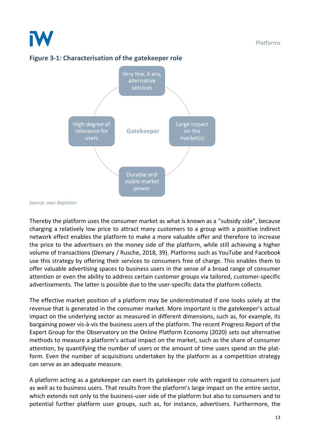<span id="page-13-0"></span>![](_page_13_Figure_2.jpeg)

![](_page_13_Figure_3.jpeg)

Source: own depiction

Thereby the platform uses the consumer market as what is known as a "subsidy side", because charging a relatively low price to attract many customers to a group with a positive indirect network effect enables the platform to make a more valuable offer and therefore to increase the price to the advertisers on the money side of the platform, while still achieving a higher volume of transactions (Demary / Rusche, 2018, 39). Platforms such as YouTube and Facebook use this strategy by offering their services to consumers free of charge. This enables them to offer valuable advertising spaces to business users in the sense of a broad range of consumer attention or even the ability to address certain customer groups via tailored, customer-specific advertisements. The latter is possible due to the user-specific data the platform collects.

The effective market position of a platform may be underestimated if one looks solely at the revenue that is generated in the consumer market. More important is the gatekeeper's actual impact on the underlying sector as measured in different dimensions, such as, for example, its bargaining power vis-à-vis the business users of the platform. The recent Progress Report of the Expert Group for the Observatory on the Online Platform Economy (2020) sets out alternative methods to measure a platform's actual impact on the market, such as the share of consumer attention, by quantifying the number of users or the amount of time users spend on the platform. Even the number of acquisitions undertaken by the platform as a competition strategy can serve as an adequate measure.

A platform acting as a gatekeeper can exert its gatekeeper role with regard to consumers just as well as to business users. That results from the platform's large impact on the entire sector, which extends not only to the business-user side of the platform but also to consumers and to potential further platform user groups, such as, for instance, advertisers. Furthermore, the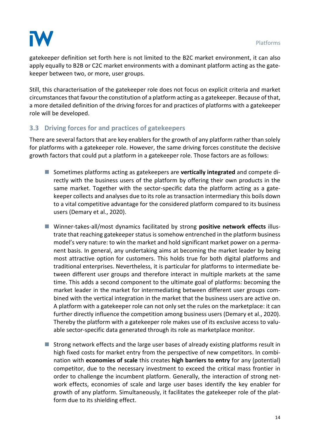![](_page_14_Picture_1.jpeg)

gatekeeper definition set forth here is not limited to the B2C market environment, it can also apply equally to B2B or C2C market environments with a dominant platform acting as the gatekeeper between two, or more, user groups.

Still, this characterisation of the gatekeeper role does not focus on explicit criteria and market circumstances that favour the constitution of a platform acting as a gatekeeper. Because of that, a more detailed definition of the driving forces for and practices of platforms with a gatekeeper role will be developed.

#### **3.3 Driving forces for and practices of gatekeepers**

There are several factors that are key enablers for the growth of any platform rather than solely for platforms with a gatekeeper role. However, the same driving forces constitute the decisive growth factors that could put a platform in a gatekeeper role. Those factors are as follows:

- Sometimes platforms acting as gatekeepers are **vertically integrated** and compete directly with the business users of the platform by offering their own products in the same market. Together with the sector-specific data the platform acting as a gatekeeper collects and analyses due to its role as transaction intermediary this boils down to a vital competitive advantage for the considered platform compared to its business users (Demary et al., 2020).
- Winner-takes-all/most dynamics facilitated by strong **positive network effects** illustrate that reaching gatekeeper status is somehow entrenched in the platform business model's very nature: to win the market and hold significant market power on a permanent basis. In general, any undertaking aims at becoming the market leader by being most attractive option for customers. This holds true for both digital platforms and traditional enterprises. Nevertheless, it is particular for platforms to intermediate between different user groups and therefore interact in multiple markets at the same time. This adds a second component to the ultimate goal of platforms: becoming the market leader in the market for intermediating between different user groups combined with the vertical integration in the market that the business users are active on. A platform with a gatekeeper role can not only set the rules on the marketplace: it can further directly influence the competition among business users (Demary et al., 2020). Thereby the platform with a gatekeeper role makes use of its exclusive access to valuable sector-specific data generated through its role as marketplace monitor.
- Strong network effects and the large user bases of already existing platforms result in high fixed costs for market entry from the perspective of new competitors. In combination with **economies of scale** this creates **high barriers to entry** for any (potential) competitor, due to the necessary investment to exceed the critical mass frontier in order to challenge the incumbent platform. Generally, the interaction of strong network effects, economies of scale and large user bases identify the key enabler for growth of any platform. Simultaneously, it facilitates the gatekeeper role of the platform due to its shielding effect.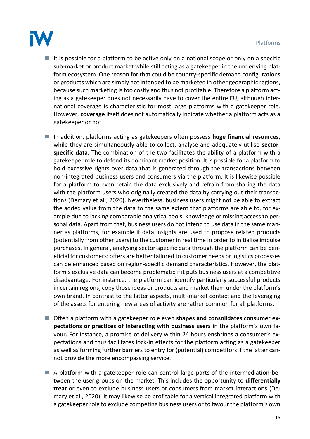![](_page_15_Picture_1.jpeg)

 $\blacksquare$  It is possible for a platform to be active only on a national scope or only on a specific sub-market or product market while still acting as a gatekeeper in the underlying platform ecosystem. One reason for that could be country-specific demand configurations or products which are simply not intended to be marketed in other geographic regions, because such marketing is too costly and thus not profitable. Therefore a platform acting as a gatekeeper does not necessarily have to cover the entire EU, although international coverage is characteristic for most large platforms with a gatekeeper role. However, **coverage** itself does not automatically indicate whether a platform acts as a gatekeeper or not.

■ In addition, platforms acting as gatekeepers often possess **huge financial resources**, while they are simultaneously able to collect, analyse and adequately utilise **sectorspecific data**. The combination of the two facilitates the ability of a platform with a gatekeeper role to defend its dominant market position. It is possible for a platform to hold excessive rights over data that is generated through the transactions between non-integrated business users and consumers via the platform. It is likewise possible for a platform to even retain the data exclusively and refrain from sharing the data with the platform users who originally created the data by carrying out their transactions (Demary et al., 2020). Nevertheless, business users might not be able to extract the added value from the data to the same extent that platforms are able to, for example due to lacking comparable analytical tools, knowledge or missing access to personal data. Apart from that, business users do not intend to use data in the same manner as platforms, for example if data insights are used to propose related products (potentially from other users) to the customer in real time in order to initialise impulse purchases. In general, analysing sector-specific data through the platform can be beneficial for customers: offers are better tailored to customer needs or logistics processes can be enhanced based on region-specific demand characteristics. However, the platform's exclusive data can become problematic if it puts business users at a competitive disadvantage. For instance, the platform can identify particularly successful products in certain regions, copy those ideas or products and market them under the platform's own brand. In contrast to the latter aspects, multi-market contact and the leveraging of the assets for entering new areas of activity are rather common for all platforms.

- Often a platform with a gatekeeper role even **shapes and consolidates consumer expectations or practices of interacting with business users** in the platform's own favour. For instance, a promise of delivery within 24 hours enshrines a consumer's expectations and thus facilitates lock-in effects for the platform acting as a gatekeeper as well as forming further barriers to entry for (potential) competitors if the latter cannot provide the more encompassing service.
- A platform with a gatekeeper role can control large parts of the intermediation between the user groups on the market. This includes the opportunity to **differentially treat** or even to exclude business users or consumers from market interactions (Demary et al., 2020). It may likewise be profitable for a vertical integrated platform with a gatekeeper role to exclude competing business users or to favour the platform's own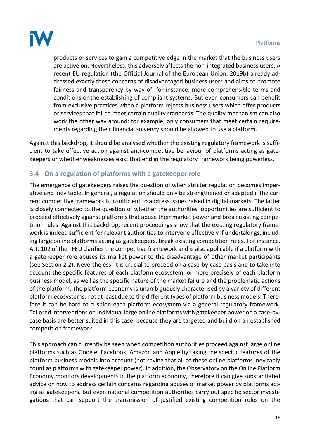![](_page_16_Picture_1.jpeg)

products or services to gain a competitive edge in the market that the business users are active on. Nevertheless, this adversely affects the non-integrated business users. A recent EU regulation (the Official Journal of the European Union, 2019b) already addressed exactly these concerns of disadvantaged business users and aims to promote fairness and transparency by way of, for instance, more comprehensible terms and conditions or the establishing of compliant systems. But even consumers can benefit from exclusive practices when a platform rejects business users which offer products or services that fail to meet certain quality standards. The quality mechanism can also work the other way around: for example, only consumers that meet certain requirements regarding their financial solvency should be allowed to use a platform.

Against this backdrop, it should be analysed whether the existing regulatory framework is sufficient to take effective action against anti-competitive behaviour of platforms acting as gatekeepers or whether weaknesses exist that end in the regulatory framework being powerless.

#### **3.4 On a regulation of platforms with a gatekeeper role**

The emergence of gatekeepers raises the question of when stricter regulation becomes imperative and inevitable. In general, a regulation should only be strengthened or adapted if the current competitive framework is insufficient to address issues raised in digital markets. The latter is closely connected to the question of whether the authorities' opportunities are sufficient to proceed effectively against platforms that abuse their market power and break existing competition rules. Against this backdrop, recent proceedings show that the existing regulatory framework is indeed sufficient for relevant authorities to intervene effectively if undertakings, including large online platforms acting as gatekeepers, break existing competition rules. For instance, Art. 102 of the TFEU clarifies the competitive framework and is also applicable if a platform with a gatekeeper role abuses its market power to the disadvantage of other market participants (see Section 2.2). Nevertheless, it is crucial to proceed on a case-by-case basis and to take into account the specific features of each platform ecosystem, or more precisely of each platform business model, as well as the specific nature of the market failure and the problematic actions of the platform. The platform economy is unambiguously characterised by a variety of different platform ecosystems, not at least due to the different types of platform business models. Therefore it can be hard to cushion each platform ecosystem via a general regulatory framework. Tailored interventions on individual large online platforms with gatekeeper power on a case-bycase basis are better suited in this case, because they are targeted and build on an established competition framework.

This approach can currently be seen when competition authorities proceed against large online platforms such as Google, Facebook, Amazon and Apple by taking the specific features of the platform business models into account (not saying that all of these online platforms inevitably count as platforms with gatekeeper power). In addition, the Observatory on the Online Platform Economy monitors developments in the platform economy, therefore it can give substantiated advice on how to address certain concerns regarding abuses of market power by platforms acting as gatekeepers. But even national competition authorities carry out specific sector investigations that can support the transmission of justified existing competition rules on the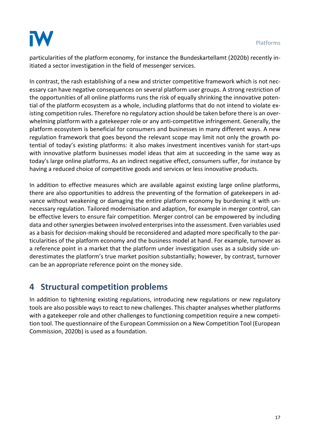![](_page_17_Picture_1.jpeg)

particularities of the platform economy, for instance the Bundeskartellamt (2020b) recently initiated a sector investigation in the field of messenger services.

In contrast, the rash establishing of a new and stricter competitive framework which is not necessary can have negative consequences on several platform user groups. A strong restriction of the opportunities of all online platforms runs the risk of equally shrinking the innovative potential of the platform ecosystem as a whole, including platforms that do not intend to violate existing competition rules. Therefore no regulatory action should be taken before there is an overwhelming platform with a gatekeeper role or any anti-competitive infringement. Generally, the platform ecosystem is beneficial for consumers and businesses in many different ways. A new regulation framework that goes beyond the relevant scope may limit not only the growth potential of today's existing platforms: it also makes investment incentives vanish for start-ups with innovative platform businesses model ideas that aim at succeeding in the same way as today's large online platforms. As an indirect negative effect, consumers suffer, for instance by having a reduced choice of competitive goods and services or less innovative products.

In addition to effective measures which are available against existing large online platforms, there are also opportunities to address the preventing of the formation of gatekeepers in advance without weakening or damaging the entire platform economy by burdening it with unnecessary regulation. Tailored modernisation and adaption, for example in merger control, can be effective levers to ensure fair competition. Merger control can be empowered by including data and other synergies between involved enterprises into the assessment. Even variables used as a basis for decision-making should be reconsidered and adapted more specifically to the particularities of the platform economy and the business model at hand. For example, turnover as a reference point in a market that the platform under investigation uses as a subsidy side underestimates the platform's true market position substantially; however, by contrast, turnover can be an appropriate reference point on the money side.

# **4 Structural competition problems**

In addition to tightening existing regulations, introducing new regulations or new regulatory tools are also possible ways to react to new challenges. This chapter analyses whether platforms with a gatekeeper role and other challenges to functioning competition require a new competition tool. The questionnaire of the European Commission on a New Competition Tool (European Commission, 2020b) is used as a foundation.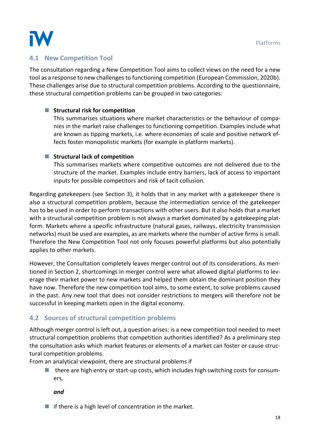![](_page_18_Picture_1.jpeg)

#### **4.1 New Competition Tool**

The consultation regarding a New Competition Tool aims to collect views on the need for a new tool as a response to new challenges to functioning competition (European Commission, 2020b). These challenges arise due to structural competition problems. According to the questionnaire, these structural competition problems can be grouped in two categories:

#### ■ **Structural risk for competition**

This summarises situations where market characteristics or the behaviour of companies in the market raise challenges to functioning competition. Examples include what are known as tipping markets, i.e. where economies of scale and positive network effects foster monopolistic markets (for example in platform markets).

#### ■ Structural lack of competition

This summarises markets where competitive outcomes are not delivered due to the structure of the market. Examples include entry barriers, lack of access to important inputs for possible competitors and risk of tacit collusion.

Regarding gatekeepers (see Section 3), it holds that in any market with a gatekeeper there is also a structural competition problem, because the intermediation service of the gatekeeper has to be used in order to perform transactions with other users. But it also holds that a market with a structural competition problem is not always a market dominated by a gatekeeping platform. Markets where a specific infrastructure (natural gases, railways, electricity transmission networks) must be used are examples, as are markets where the number of active firms is small. Therefore the New Competition Tool not only focuses powerful platforms but also potentially applies to other markets.

However, the Consultation completely leaves merger control out of its considerations. As mentioned in Section 2, shortcomings in merger control were what allowed digital platforms to leverage their market power to new markets and helped them obtain the dominant position they have now. Therefore the new competition tool aims, to some extent, to solve problems caused in the past. Any new tool that does not consider restrictions to mergers will therefore not be successful in keeping markets open in the digital economy.

#### **4.2 Sources of structural competition problems**

Although merger control is left out, a question arises: is a new competition tool needed to meet structural competition problems that competition authorities identified? As a preliminary step the consultation asks which market features or elements of a market can foster or cause structural competition problems.

From an analytical viewpoint, there are structural problems if

■ there are high entry or start-up costs, which includes high switching costs for consumers,

*and*

 $\blacksquare$  if there is a high level of concentration in the market.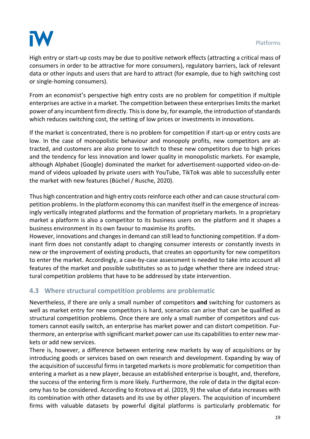![](_page_19_Picture_1.jpeg)

High entry or start-up costs may be due to positive network effects (attracting a critical mass of consumers in order to be attractive for more consumers), regulatory barriers, lack of relevant data or other inputs and users that are hard to attract (for example, due to high switching cost or single-homing consumers).

From an economist's perspective high entry costs are no problem for competition if multiple enterprises are active in a market. The competition between these enterprises limits the market power of any incumbent firm directly. This is done by, for example, the introduction of standards which reduces switching cost, the setting of low prices or investments in innovations.

If the market is concentrated, there is no problem for competition if start-up or entry costs are low. In the case of monopolistic behaviour and monopoly profits, new competitors are attracted, and customers are also prone to switch to these new competitors due to high prices and the tendency for less innovation and lower quality in monopolistic markets. For example, although Alphabet (Google) dominated the market for advertisement-supported video-on-demand of videos uploaded by private users with YouTube, TikTok was able to successfully enter the market with new features (Büchel / Rusche, 2020).

Thus high concentration and high entry costs reinforce each other and can cause structural competition problems. In the platform economy this can manifest itself in the emergence of increasingly vertically integrated platforms and the formation of proprietary markets. In a proprietary market a platform is also a competitor to its business users on the platform and it shapes a business environment in its own favour to maximise its profits.

However, innovations and changes in demand can still lead to functioning competition. If a dominant firm does not constantly adapt to changing consumer interests or constantly invests in new or the improvement of existing products, that creates an opportunity for new competitors to enter the market. Accordingly, a case-by-case assessment is needed to take into account all features of the market and possible substitutes so as to judge whether there are indeed structural competition problems that have to be addressed by state intervention.

#### **4.3 Where structural competition problems are problematic**

Nevertheless, if there are only a small number of competitors **and** switching for customers as well as market entry for new competitors is hard, scenarios can arise that can be qualified as structural competition problems. Once there are only a small number of competitors and customers cannot easily switch, an enterprise has market power and can distort competition. Furthermore, an enterprise with significant market power can use its capabilities to enter new markets or add new services.

There is, however, a difference between entering new markets by way of acquisitions or by introducing goods or services based on own research and development. Expanding by way of the acquisition of successful firms in targeted markets is more problematic for competition than entering a market as a new player, because an established enterprise is bought, and, therefore, the success of the entering firm is more likely. Furthermore, the role of data in the digital economy has to be considered. According to Krotova et al. (2019, 9) the value of data increases with its combination with other datasets and its use by other players. The acquisition of incumbent firms with valuable datasets by powerful digital platforms is particularly problematic for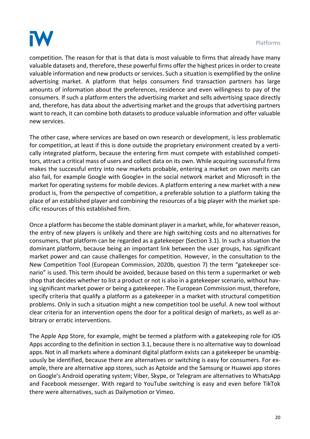![](_page_20_Picture_1.jpeg)

competition. The reason for that is that data is most valuable to firms that already have many valuable datasets and, therefore, these powerful firms offer the highest prices in order to create valuable information and new products or services. Such a situation is exemplified by the online advertising market. A platform that helps consumers find transaction partners has large amounts of information about the preferences, residence and even willingness to pay of the consumers. If such a platform enters the advertising market and sells advertising space directly and, therefore, has data about the advertising market and the groups that advertising partners want to reach, it can combine both datasets to produce valuable information and offer valuable new services.

The other case, where services are based on own research or development, is less problematic for competition, at least if this is done outside the proprietary environment created by a vertically integrated platform, because the entering firm must compete with established competitors, attract a critical mass of users and collect data on its own. While acquiring successful firms makes the successful entry into new markets probable, entering a market on own merits can also fail, for example Google with Google+ in the social network market and Microsoft in the market for operating systems for mobile devices. A platform entering a new market with a new product is, from the perspective of competition, a preferable solution to a platform taking the place of an established player and combining the resources of a big player with the market specific resources of this established firm.

Once a platform has become the stable dominant player in a market, while, for whatever reason, the entry of new players is unlikely and there are high switching costs and no alternatives for consumers, that platform can be regarded as a gatekeeper (Section 3.1). In such a situation the dominant platform, because being an important link between the user groups, has significant market power and can cause challenges for competition. However, in the consultation to the New Competition Tool (European Commission, 2020b, question 7) the term "gatekeeper scenario" is used. This term should be avoided, because based on this term a supermarket or web shop that decides whether to list a product or not is also in a gatekeeper scenario, without having significant market power or being a gatekeeper. The European Commission must, therefore, specify criteria that qualify a platform as a gatekeeper in a market with structural competition problems. Only in such a situation might a new competition tool be useful. A new tool without clear criteria for an intervention opens the door for a political design of markets, as well as arbitrary or erratic interventions.

The Apple App Store, for example, might be termed a platform with a gatekeeping role for iOS Apps according to the definition in section 3.1, because there is no alternative way to download apps. Not in all markets where a dominant digital platform exists can a gatekeeper be unambiguously be identified, because there are alternatives or switching is easy for consumers. For example, there are alternative app stores, such as Aptoide and the Samsung or Huawei app stores on Google's Android operating system; Viber, Skype, or Telegram are alternatives to WhatsApp and Facebook messenger. With regard to YouTube switching is easy and even before TikTok there were alternatives, such as Dailymotion or Vimeo.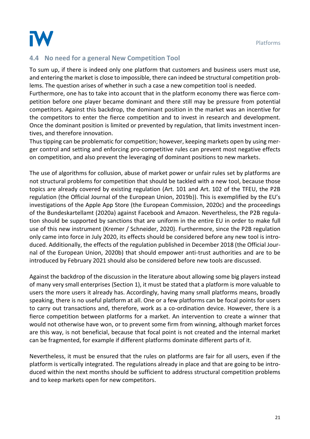![](_page_21_Picture_1.jpeg)

#### **4.4 No need for a general New Competition Tool**

To sum up, if there is indeed only one platform that customers and business users must use, and entering the market is close to impossible, there can indeed be structural competition problems. The question arises of whether in such a case a new competition tool is needed. Furthermore, one has to take into account that in the platform economy there was fierce competition before one player became dominant and there still may be pressure from potential competitors. Against this backdrop, the dominant position in the market was an incentive for the competitors to enter the fierce competition and to invest in research and development. Once the dominant position is limited or prevented by regulation, that limits investment incentives, and therefore innovation.

Thus tipping can be problematic for competition; however, keeping markets open by using merger control and setting and enforcing pro-competitive rules can prevent most negative effects on competition, and also prevent the leveraging of dominant positions to new markets.

The use of algorithms for collusion, abuse of market power or unfair rules set by platforms are not structural problems for competition that should be tackled with a new tool, because those topics are already covered by existing regulation (Art. 101 and Art. 102 of the TFEU, the P2B regulation (the Official Journal of the European Union, 2019b)). This is exemplified by the EU's investigations of the Apple App Store (the European Commission, 2020c) and the proceedings of the Bundeskartellamt (2020a) against Facebook and Amazon. Nevertheless, the P2B regulation should be supported by sanctions that are uniform in the entire EU in order to make full use of this new instrument (Kremer / Schneider, 2020). Furthermore, since the P2B regulation only came into force in July 2020, its effects should be considered before any new tool is introduced. Additionally, the effects of the regulation published in December 2018 (the Official Journal of the European Union, 2020b) that should empower anti-trust authorities and are to be introduced by February 2021 should also be considered before new tools are discussed.

Against the backdrop of the discussion in the literature about allowing some big players instead of many very small enterprises (Section 1), it must be stated that a platform is more valuable to users the more users it already has. Accordingly, having many small platforms means, broadly speaking, there is no useful platform at all. One or a few platforms can be focal points for users to carry out transactions and, therefore, work as a co-ordination device. However, there is a fierce competition between platforms for a market. An intervention to create a winner that would not otherwise have won, or to prevent some firm from winning, although market forces are this way, is not beneficial, because that focal point is not created and the internal market can be fragmented, for example if different platforms dominate different parts of it.

Nevertheless, it must be ensured that the rules on platforms are fair for all users, even if the platform is vertically integrated. The regulations already in place and that are going to be introduced within the next months should be sufficient to address structural competition problems and to keep markets open for new competitors.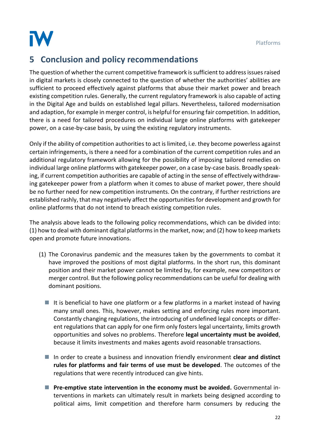![](_page_22_Picture_1.jpeg)

# **5 Conclusion and policy recommendations**

The question of whether the current competitive framework is sufficient to address issues raised in digital markets is closely connected to the question of whether the authorities' abilities are sufficient to proceed effectively against platforms that abuse their market power and breach existing competition rules. Generally, the current regulatory framework is also capable of acting in the Digital Age and builds on established legal pillars. Nevertheless, tailored modernisation and adaption, for example in merger control, is helpful for ensuring fair competition. In addition, there is a need for tailored procedures on individual large online platforms with gatekeeper power, on a case-by-case basis, by using the existing regulatory instruments.

Only if the ability of competition authorities to act is limited, i.e. they become powerless against certain infringements, is there a need for a combination of the current competition rules and an additional regulatory framework allowing for the possibility of imposing tailored remedies on individual large online platforms with gatekeeper power, on a case by-case basis. Broadly speaking, if current competition authorities are capable of acting in the sense of effectively withdrawing gatekeeper power from a platform when it comes to abuse of market power, there should be no further need for new competition instruments. On the contrary, if further restrictions are established rashly, that may negatively affect the opportunities for development and growth for online platforms that do not intend to breach existing competition rules.

The analysis above leads to the following policy recommendations, which can be divided into: (1) how to deal with dominant digital platforms in the market, now; and (2) how to keep markets open and promote future innovations.

- (1) The Coronavirus pandemic and the measures taken by the governments to combat it have improved the positions of most digital platforms. In the short run, this dominant position and their market power cannot be limited by, for example, new competitors or merger control. But the following policy recommendations can be useful for dealing with dominant positions.
	- It is beneficial to have one platform or a few platforms in a market instead of having many small ones. This, however, makes setting and enforcing rules more important. Constantly changing regulations, the introducing of undefined legal concepts or different regulations that can apply for one firm only fosters legal uncertainty, limits growth opportunities and solves no problems. Therefore **legal uncertainty must be avoided**, because it limits investments and makes agents avoid reasonable transactions.
	- In order to create a business and innovation friendly environment **clear and distinct rules for platforms and fair terms of use must be developed**. The outcomes of the regulations that were recently introduced can give hints.
	- Pre-emptive state intervention in the economy must be avoided. Governmental interventions in markets can ultimately result in markets being designed according to political aims, limit competition and therefore harm consumers by reducing the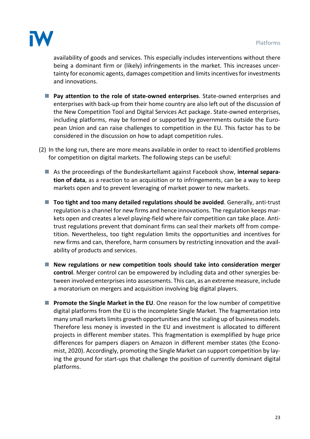![](_page_23_Picture_1.jpeg)

availability of goods and services. This especially includes interventions without there being a dominant firm or (likely) infringements in the market. This increases uncertainty for economic agents, damages competition and limits incentives for investments and innovations.

- Pay attention to the role of state-owned enterprises. State-owned enterprises and enterprises with back-up from their home country are also left out of the discussion of the New Competition Tool and Digital Services Act package. State-owned enterprises, including platforms, may be formed or supported by governments outside the European Union and can raise challenges to competition in the EU. This factor has to be considered in the discussion on how to adapt competition rules.
- (2) In the long run, there are more means available in order to react to identified problems for competition on digital markets. The following steps can be useful:
	- As the proceedings of the Bundeskartellamt against Facebook show, **internal separation of data**, as a reaction to an acquisition or to infringements, can be a way to keep markets open and to prevent leveraging of market power to new markets.
	- **Too tight and too many detailed regulations should be avoided. Generally, anti-trust** regulation is a channel for new firms and hence innovations. The regulation keeps markets open and creates a level playing-field where fair competition can take place. Antitrust regulations prevent that dominant firms can seal their markets off from competition. Nevertheless, too tight regulation limits the opportunities and incentives for new firms and can, therefore, harm consumers by restricting innovation and the availability of products and services.
	- New regulations or new competition tools should take into consideration merger **control**. Merger control can be empowered by including data and other synergies between involved enterprises into assessments. This can, as an extreme measure, include a moratorium on mergers and acquisition involving big digital players.
	- **Promote the Single Market in the EU**. One reason for the low number of competitive digital platforms from the EU is the incomplete Single Market. The fragmentation into many small markets limits growth opportunities and the scaling up of business models. Therefore less money is invested in the EU and investment is allocated to different projects in different member states. This fragmentation is exemplified by huge price differences for pampers diapers on Amazon in different member states (the Economist, 2020). Accordingly, promoting the Single Market can support competition by laying the ground for start-ups that challenge the position of currently dominant digital platforms.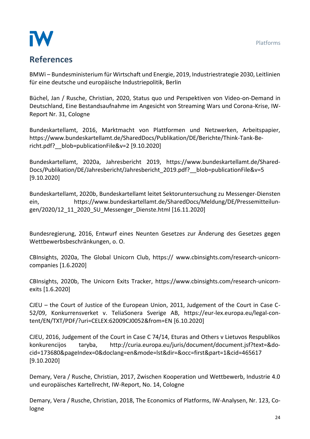![](_page_24_Picture_1.jpeg)

# **References**

BMWi – Bundesministerium für Wirtschaft und Energie, 2019, Industriestrategie 2030, Leitlinien für eine deutsche und europäische Industriepolitik, Berlin

Büchel, Jan / Rusche, Christian, 2020, Status quo und Perspektiven von Video-on-Demand in Deutschland, Eine Bestandsaufnahme im Angesicht von Streaming Wars und Corona-Krise, IW-Report Nr. 31, Cologne

Bundeskartellamt, 2016, Marktmacht von Plattformen und Netzwerken, Arbeitspapier, https://www.bundeskartellamt.de/SharedDocs/Publikation/DE/Berichte/Think-Tank-Bericht.pdf? blob=publicationFile&v=2 [9.10.2020]

Bundeskartellamt, 2020a, Jahresbericht 2019, https://www.bundeskartellamt.de/Shared-Docs/Publikation/DE/Jahresbericht/Jahresbericht\_2019.pdf?\_\_blob=publicationFile&v=5 [9.10.2020]

Bundeskartellamt, 2020b, Bundeskartellamt leitet Sektoruntersuchung zu Messenger-Diensten ein, https://www.bundeskartellamt.de/SharedDocs/Meldung/DE/Pressemitteilungen/2020/12\_11\_2020\_SU\_Messenger\_Dienste.html [16.11.2020]

Bundesregierung, 2016, Entwurf eines Neunten Gesetzes zur Änderung des Gesetzes gegen Wettbewerbsbeschränkungen, o. O.

CBInsights, 2020a, The Global Unicorn Club, https:// www.cbinsights.com/research-unicorncompanies [1.6.2020]

CBInsights, 2020b, The Unicorn Exits Tracker, https://www.cbinsights.com/research-unicornexits [1.6.2020]

CJEU – the Court of Justice of the European Union, 2011, Judgement of the Court in Case C-52/09, Konkurrensverket v. TeliaSonera Sverige AB, https://eur-lex.europa.eu/legal-content/EN/TXT/PDF/?uri=CELEX:62009CJ0052&from=EN [6.10.2020]

CJEU, 2016, Judgement of the Court in Case C 74/14, Eturas and Others v Lietuvos Respublikos konkurencijos taryba, http://curia.europa.eu/juris/document/document.jsf?text=&docid=173680&pageIndex=0&doclang=en&mode=lst&dir=&occ=first&part=1&cid=465617 [9.10.2020]

Demary, Vera / Rusche, Christian, 2017, Zwischen Kooperation und Wettbewerb, Industrie 4.0 und europäisches Kartellrecht, IW-Report, No. 14, Cologne

Demary, Vera / Rusche, Christian, 2018, The Economics of Platforms, IW-Analysen, Nr. 123, Cologne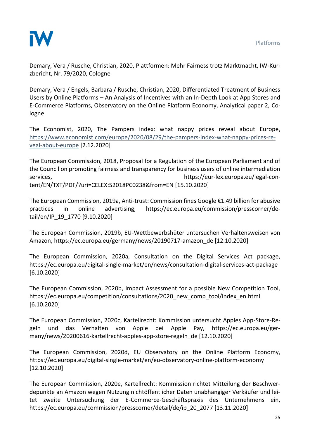![](_page_25_Picture_1.jpeg)

Demary, Vera / Rusche, Christian, 2020, Plattformen: Mehr Fairness trotz Marktmacht, IW-Kurzbericht, Nr. 79/2020, Cologne

Demary, Vera / Engels, Barbara / Rusche, Christian, 2020, Differentiated Treatment of Business Users by Online Platforms – An Analysis of Incentives with an In-Depth Look at App Stores and E-Commerce Platforms, Observatory on the Online Platform Economy, Analytical paper 2, Cologne

The Economist, 2020, The Pampers index: what nappy prices reveal about Europe, [https://www.economist.com/europe/2020/08/29/the-pampers-index-what-nappy-prices-re](https://www.economist.com/europe/2020/08/29/the-pampers-index-what-nappy-prices-reveal-about-europe)[veal-about-europe](https://www.economist.com/europe/2020/08/29/the-pampers-index-what-nappy-prices-reveal-about-europe) [2.12.2020]

The European Commission, 2018, Proposal for a Regulation of the European Parliament and of the Council on promoting fairness and transparency for business users of online intermediation services, https://eur-lex.europa.eu/legal-content/EN/TXT/PDF/?uri=CELEX:52018PC0238&from=EN [15.10.2020]

The European Commission, 2019a, Anti-trust: Commission fines Google €1.49 billion for abusive practices in online advertising, https://ec.europa.eu/commission/presscorner/detail/en/IP\_19\_1770 [9.10.2020]

The European Commission, 2019b, EU-Wettbewerbshüter untersuchen Verhaltensweisen von Amazon, https://ec.europa.eu/germany/news/20190717-amazon\_de [12.10.2020]

The European Commission, 2020a, Consultation on the Digital Services Act package, https://ec.europa.eu/digital-single-market/en/news/consultation-digital-services-act-package [6.10.2020]

The European Commission, 2020b, Impact Assessment for a possible New Competition Tool, https://ec.europa.eu/competition/consultations/2020\_new\_comp\_tool/index\_en.html [6.10.2020]

The European Commission, 2020c, Kartellrecht: Kommission untersucht Apples App-Store-Regeln und das Verhalten von Apple bei Apple Pay, https://ec.europa.eu/germany/news/20200616-kartellrecht-apples-app-store-regeln\_de [12.10.2020]

The European Commission, 2020d, EU Observatory on the Online Platform Economy, https://ec.europa.eu/digital-single-market/en/eu-observatory-online-platform-economy [12.10.2020]

The European Commission, 2020e, Kartellrecht: Kommission richtet Mitteilung der Beschwerdepunkte an Amazon wegen Nutzung nichtöffentlicher Daten unabhängiger Verkäufer und leitet zweite Untersuchung der E-Commerce-Geschäftspraxis des Unternehmens ein, https://ec.europa.eu/commission/presscorner/detail/de/ip\_20\_2077 [13.11.2020]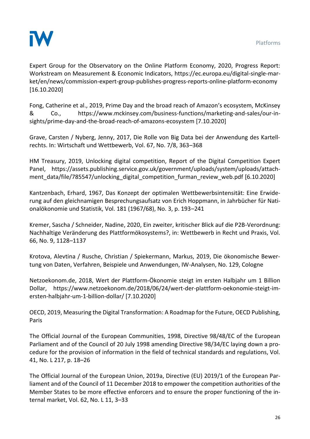![](_page_26_Picture_1.jpeg)

Expert Group for the Observatory on the Online Platform Economy, 2020, Progress Report: Workstream on Measurement & Economic Indicators, https://ec.europa.eu/digital-single-market/en/news/commission-expert-group-publishes-progress-reports-online-platform-economy [16.10.2020]

Fong, Catherine et al., 2019, Prime Day and the broad reach of Amazon's ecosystem, McKinsey & Co., https://www.mckinsey.com/business-functions/marketing-and-sales/our-insights/prime-day-and-the-broad-reach-of-amazons-ecosystem [7.10.2020]

Grave, Carsten / Nyberg, Jenny, 2017, Die Rolle von Big Data bei der Anwendung des Kartellrechts. In: Wirtschaft und Wettbewerb, Vol. 67, No. 7/8, 363–368

HM Treasury, 2019, Unlocking digital competition, Report of the Digital Competition Expert Panel, https://assets.publishing.service.gov.uk/government/uploads/system/uploads/attachment\_data/file/785547/unlocking\_digital\_competition\_furman\_review\_web.pdf [6.10.2020]

Kantzenbach, Erhard, 1967, Das Konzept der optimalen Wettbewerbsintensität: Eine Erwiderung auf den gleichnamigen Besprechungsaufsatz von Erich Hoppmann, in Jahrbücher für Nationalökonomie und Statistik, Vol. 181 (1967/68), No. 3, p. 193–241

Kremer, Sascha / Schneider, Nadine, 2020, Ein zweiter, kritischer Blick auf die P2B-Verordnung: Nachhaltige Veränderung des Plattformökosystems?, in: Wettbewerb in Recht und Praxis, Vol. 66, No. 9, 1128–1137

Krotova, Alevtina / Rusche, Christian / Spiekermann, Markus, 2019, Die ökonomische Bewertung von Daten, Verfahren, Beispiele und Anwendungen, IW-Analysen, No. 129, Cologne

Netzoekonom.de, 2018, Wert der Plattform-Ökonomie steigt im ersten Halbjahr um 1 Billion Dollar, https://www.netzoekonom.de/2018/06/24/wert-der-plattform-oekonomie-steigt-imersten-halbjahr-um-1-billion-dollar/ [7.10.2020]

OECD, 2019, Measuring the Digital Transformation: A Roadmap for the Future, OECD Publishing, Paris

The Official Journal of the European Communities, 1998, Directive 98/48/EC of the European Parliament and of the Council of 20 July 1998 amending Directive 98/34/EC laying down a procedure for the provision of information in the field of technical standards and regulations, Vol. 41, No. L 217, p. 18–26

The Official Journal of the European Union, 2019a, Directive (EU) 2019/1 of the European Parliament and of the Council of 11 December 2018 to empower the competition authorities of the Member States to be more effective enforcers and to ensure the proper functioning of the internal market, Vol. 62, No. L 11, 3–33